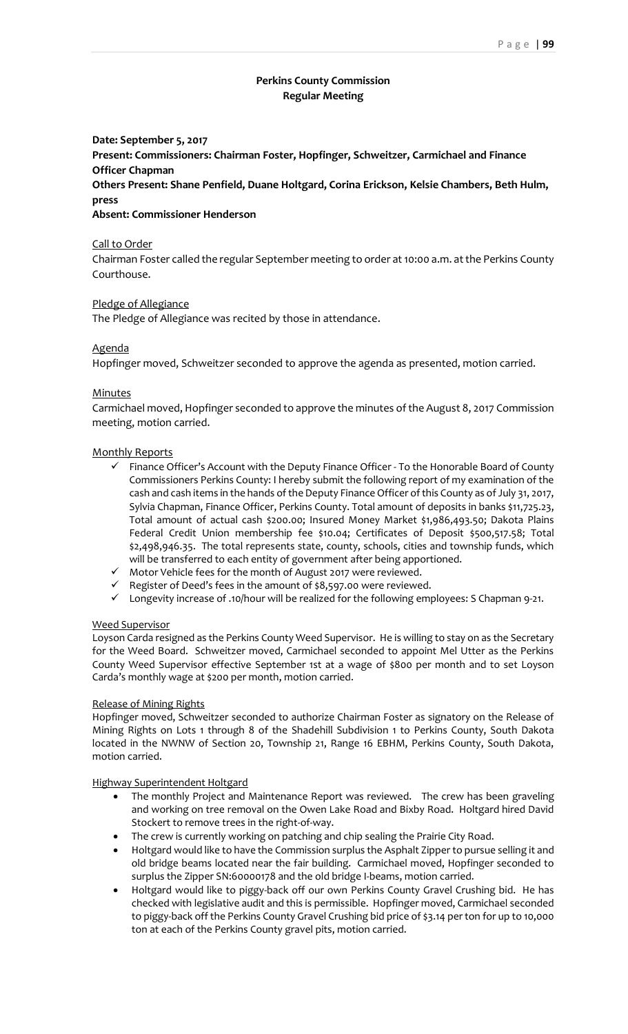# **Perkins County Commission Regular Meeting**

# **Date: September 5, 2017 Present: Commissioners: Chairman Foster, Hopfinger, Schweitzer, Carmichael and Finance Officer Chapman**

**Others Present: Shane Penfield, Duane Holtgard, Corina Erickson, Kelsie Chambers, Beth Hulm, press**

# **Absent: Commissioner Henderson**

### Call to Order

Chairman Foster called the regular September meeting to order at 10:00 a.m. at the Perkins County Courthouse.

# Pledge of Allegiance

The Pledge of Allegiance was recited by those in attendance.

# Agenda

Hopfinger moved, Schweitzer seconded to approve the agenda as presented, motion carried.

# **Minutes**

Carmichael moved, Hopfinger seconded to approve the minutes of the August 8, 2017 Commission meeting, motion carried.

# Monthly Reports

- ✓ Finance Officer's Account with the Deputy Finance Officer To the Honorable Board of County Commissioners Perkins County: I hereby submit the following report of my examination of the cash and cash items in the hands of the Deputy Finance Officer of this County as of July 31, 2017, Sylvia Chapman, Finance Officer, Perkins County. Total amount of deposits in banks \$11,725.23, Total amount of actual cash \$200.00; Insured Money Market \$1,986,493.50; Dakota Plains Federal Credit Union membership fee \$10.04; Certificates of Deposit \$500,517.58; Total \$2,498,946.35. The total represents state, county, schools, cities and township funds, which will be transferred to each entity of government after being apportioned.
- ✓ Motor Vehicle fees for the month of August 2017 were reviewed.
- $\checkmark$  Register of Deed's fees in the amount of \$8,597.00 were reviewed.
- ↓ Integlated of Decularies in the direction is 1999.<br>► Longevity increase of .10/hour will be realized for the following employees: S Chapman 9-21.

#### Weed Supervisor

Loyson Carda resigned as the Perkins County Weed Supervisor. He is willing to stay on as the Secretary for the Weed Board. Schweitzer moved, Carmichael seconded to appoint Mel Utter as the Perkins County Weed Supervisor effective September 1st at a wage of \$800 per month and to set Loyson Carda's monthly wage at \$200 per month, motion carried.

# Release of Mining Rights

Hopfinger moved, Schweitzer seconded to authorize Chairman Foster as signatory on the Release of Mining Rights on Lots 1 through 8 of the Shadehill Subdivision 1 to Perkins County, South Dakota located in the NWNW of Section 20, Township 21, Range 16 EBHM, Perkins County, South Dakota, motion carried.

#### Highway Superintendent Holtgard

- The monthly Project and Maintenance Report was reviewed. The crew has been graveling and working on tree removal on the Owen Lake Road and Bixby Road. Holtgard hired David Stockert to remove trees in the right-of-way.
- The crew is currently working on patching and chip sealing the Prairie City Road.
- Holtgard would like to have the Commission surplus the Asphalt Zipper to pursue selling it and old bridge beams located near the fair building. Carmichael moved, Hopfinger seconded to surplus the Zipper SN:60000178 and the old bridge I-beams, motion carried.
- Holtgard would like to piggy-back off our own Perkins County Gravel Crushing bid. He has checked with legislative audit and this is permissible. Hopfinger moved, Carmichael seconded to piggy-back off the Perkins County Gravel Crushing bid price of \$3.14 per ton for up to 10,000 ton at each of the Perkins County gravel pits, motion carried.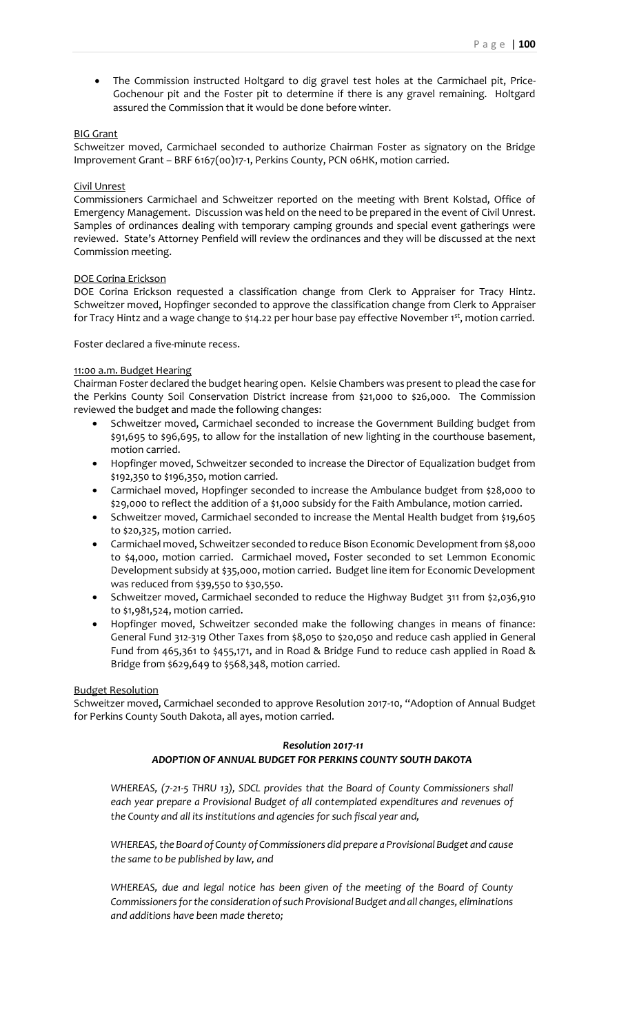• The Commission instructed Holtgard to dig gravel test holes at the Carmichael pit, Price-Gochenour pit and the Foster pit to determine if there is any gravel remaining. Holtgard assured the Commission that it would be done before winter.

#### BIG Grant

Schweitzer moved, Carmichael seconded to authorize Chairman Foster as signatory on the Bridge Improvement Grant – BRF 6167(00)17-1, Perkins County, PCN 06HK, motion carried.

#### Civil Unrest

Commissioners Carmichael and Schweitzer reported on the meeting with Brent Kolstad, Office of Emergency Management. Discussion was held on the need to be prepared in the event of Civil Unrest. Samples of ordinances dealing with temporary camping grounds and special event gatherings were reviewed. State's Attorney Penfield will review the ordinances and they will be discussed at the next Commission meeting.

#### DOE Corina Erickson

DOE Corina Erickson requested a classification change from Clerk to Appraiser for Tracy Hintz. Schweitzer moved, Hopfinger seconded to approve the classification change from Clerk to Appraiser for Tracy Hintz and a wage change to \$14.22 per hour base pay effective November 1st, motion carried.

Foster declared a five-minute recess.

#### 11:00 a.m. Budget Hearing

Chairman Foster declared the budget hearing open. Kelsie Chambers was present to plead the case for the Perkins County Soil Conservation District increase from \$21,000 to \$26,000. The Commission reviewed the budget and made the following changes:

- Schweitzer moved, Carmichael seconded to increase the Government Building budget from \$91,695 to \$96,695, to allow for the installation of new lighting in the courthouse basement, motion carried.
- Hopfinger moved, Schweitzer seconded to increase the Director of Equalization budget from \$192,350 to \$196,350, motion carried.
- Carmichael moved, Hopfinger seconded to increase the Ambulance budget from \$28,000 to \$29,000 to reflect the addition of a \$1,000 subsidy for the Faith Ambulance, motion carried.
- Schweitzer moved, Carmichael seconded to increase the Mental Health budget from \$19,605 to \$20,325, motion carried.
- Carmichael moved, Schweitzer seconded to reduce Bison Economic Development from \$8,000 to \$4,000, motion carried. Carmichael moved, Foster seconded to set Lemmon Economic Development subsidy at \$35,000, motion carried. Budget line item for Economic Development was reduced from \$39,550 to \$30,550.
- Schweitzer moved, Carmichael seconded to reduce the Highway Budget 311 from \$2,036,910 to \$1,981,524, motion carried.
- Hopfinger moved, Schweitzer seconded make the following changes in means of finance: General Fund 312-319 Other Taxes from \$8,050 to \$20,050 and reduce cash applied in General Fund from 465,361 to \$455,171, and in Road & Bridge Fund to reduce cash applied in Road & Bridge from \$629,649 to \$568,348, motion carried.

#### Budget Resolution

Schweitzer moved, Carmichael seconded to approve Resolution 2017-10, "Adoption of Annual Budget for Perkins County South Dakota, all ayes, motion carried.

# *Resolution 2017-11 ADOPTION OF ANNUAL BUDGET FOR PERKINS COUNTY SOUTH DAKOTA*

*WHEREAS, (7-21-5 THRU 13), SDCL provides that the Board of County Commissioners shall each year prepare a Provisional Budget of all contemplated expenditures and revenues of the County and all its institutions and agencies for such fiscal year and,* 

*WHEREAS, the Board of County of Commissioners did prepare a Provisional Budget and cause the same to be published by law, and*

*WHEREAS, due and legal notice has been given of the meeting of the Board of County Commissioners for the consideration of such Provisional Budget and all changes, eliminations and additions have been made thereto;*